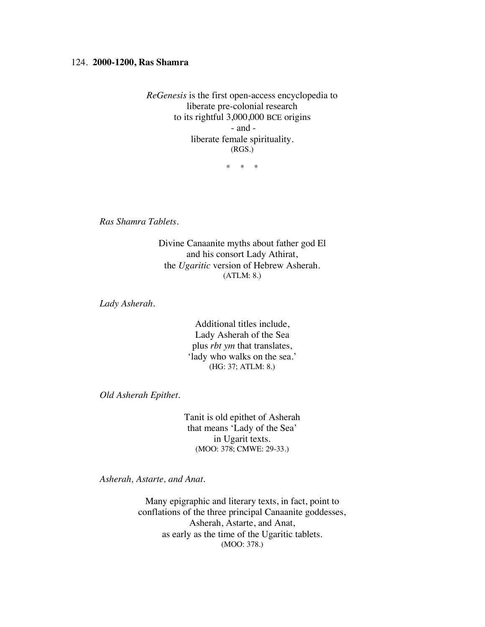## 124. **2000-1200, Ras Shamra**

*ReGenesis* is the first open-access encyclopedia to liberate pre-colonial research to its rightful 3,000,000 BCE origins - and liberate female spirituality. (RGS.)

\* \* \*

*Ras Shamra Tablets.*

Divine Canaanite myths about father god El and his consort Lady Athirat, the *Ugaritic* version of Hebrew Asherah*.* (ATLM: 8.)

*Lady Asherah.*

Additional titles include, Lady Asherah of the Sea plus *rbt ym* that translates, 'lady who walks on the sea.' (HG: 37; ATLM: 8.)

*Old Asherah Epithet.*

Tanit is old epithet of Asherah that means 'Lady of the Sea' in Ugarit texts. (MOO: 378; CMWE: 29-33.)

*Asherah, Astarte, and Anat.*

Many epigraphic and literary texts, in fact, point to conflations of the three principal Canaanite goddesses, Asherah, Astarte, and Anat, as early as the time of the Ugaritic tablets. (MOO: 378.)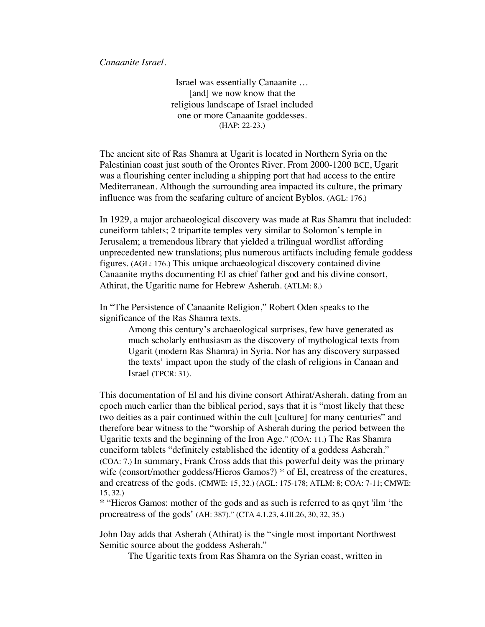*Canaanite Israel.*

Israel was essentially Canaanite … [and] we now know that the religious landscape of Israel included one or more Canaanite goddesses. (HAP: 22-23.)

The ancient site of Ras Shamra at Ugarit is located in Northern Syria on the Palestinian coast just south of the Orontes River. From 2000-1200 BCE, Ugarit was a flourishing center including a shipping port that had access to the entire Mediterranean. Although the surrounding area impacted its culture, the primary influence was from the seafaring culture of ancient Byblos. (AGL: 176.)

In 1929, a major archaeological discovery was made at Ras Shamra that included: cuneiform tablets; 2 tripartite temples very similar to Solomon's temple in Jerusalem; a tremendous library that yielded a trilingual wordlist affording unprecedented new translations; plus numerous artifacts including female goddess figures. (AGL: 176.) This unique archaeological discovery contained divine Canaanite myths documenting El as chief father god and his divine consort, Athirat, the Ugaritic name for Hebrew Asherah. (ATLM: 8.)

In "The Persistence of Canaanite Religion," Robert Oden speaks to the significance of the Ras Shamra texts.

> Among this century's archaeological surprises, few have generated as much scholarly enthusiasm as the discovery of mythological texts from Ugarit (modern Ras Shamra) in Syria. Nor has any discovery surpassed the texts' impact upon the study of the clash of religions in Canaan and Israel (TPCR: 31).

This documentation of El and his divine consort Athirat/Asherah, dating from an epoch much earlier than the biblical period, says that it is "most likely that these two deities as a pair continued within the cult [culture] for many centuries" and therefore bear witness to the "worship of Asherah during the period between the Ugaritic texts and the beginning of the Iron Age." (COA: 11.) The Ras Shamra cuneiform tablets "definitely established the identity of a goddess Asherah." (COA: 7.) In summary, Frank Cross adds that this powerful deity was the primary wife (consort/mother goddess/Hieros Gamos?) \* of El, creatress of the creatures, and creatress of the gods. (CMWE: 15, 32.) (AGL: 175-178; ATLM: 8; COA: 7-11; CMWE: 15, 32.)

\* "Hieros Gamos: mother of the gods and as such is referred to as qnyt 'ilm 'the procreatress of the gods' (AH: 387)." (CTA 4.1.23, 4.III.26, 30, 32, 35.)

John Day adds that Asherah (Athirat) is the "single most important Northwest Semitic source about the goddess Asherah."

The Ugaritic texts from Ras Shamra on the Syrian coast, written in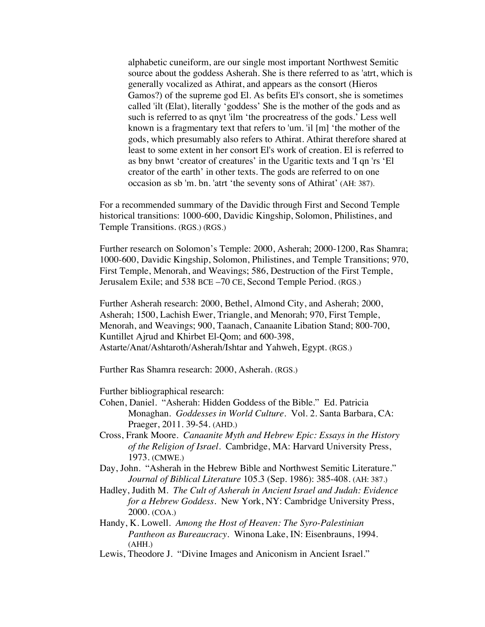alphabetic cuneiform, are our single most important Northwest Semitic source about the goddess Asherah. She is there referred to as 'atrt, which is generally vocalized as Athirat, and appears as the consort (Hieros Gamos?) of the supreme god El. As befits El's consort, she is sometimes called 'ilt (Elat), literally 'goddess' She is the mother of the gods and as such is referred to as qnyt 'ilm 'the procreatress of the gods.' Less well known is a fragmentary text that refers to 'um. 'il [m] 'the mother of the gods, which presumably also refers to Athirat. Athirat therefore shared at least to some extent in her consort El's work of creation. El is referred to as bny bnwt 'creator of creatures' in the Ugaritic texts and 'I qn 'rs 'El creator of the earth' in other texts. The gods are referred to on one occasion as sb 'm. bn. 'atrt 'the seventy sons of Athirat' (AH: 387).

For a recommended summary of the Davidic through First and Second Temple historical transitions: 1000-600, Davidic Kingship, Solomon, Philistines, and Temple Transitions. (RGS.) (RGS.)

Further research on Solomon's Temple: 2000, Asherah; 2000-1200, Ras Shamra; 1000-600, Davidic Kingship, Solomon, Philistines, and Temple Transitions; 970, First Temple, Menorah, and Weavings; 586, Destruction of the First Temple, Jerusalem Exile; and 538 BCE –70 CE, Second Temple Period. (RGS.)

Further Asherah research: 2000, Bethel, Almond City, and Asherah; 2000, Asherah; 1500, Lachish Ewer, Triangle, and Menorah; 970, First Temple, Menorah, and Weavings; 900, Taanach, Canaanite Libation Stand; 800-700, Kuntillet Ajrud and Khirbet El-Qom; and 600-398, Astarte/Anat/Ashtaroth/Asherah/Ishtar and Yahweh, Egypt. (RGS.)

Further Ras Shamra research: 2000, Asherah. (RGS.)

Further bibliographical research:

- Cohen, Daniel. "Asherah: Hidden Goddess of the Bible." Ed. Patricia Monaghan. *Goddesses in World Culture*. Vol. 2. Santa Barbara, CA: Praeger, 2011. 39-54. (AHD.)
- Cross, Frank Moore*. Canaanite Myth and Hebrew Epic: Essays in the History of the Religion of Israel.* Cambridge, MA: Harvard University Press, 1973. (CMWE.)
- Day, John. "Asherah in the Hebrew Bible and Northwest Semitic Literature." *Journal of Biblical Literature* 105.3 (Sep. 1986): 385-408. (AH: 387.)
- Hadley, Judith M. *The Cult of Asherah in Ancient Israel and Judah: Evidence for a Hebrew Goddess*. New York, NY: Cambridge University Press, 2000. (COA.)
- Handy, K. Lowell. *Among the Host of Heaven: The Syro-Palestinian Pantheon as Bureaucracy*. Winona Lake, IN: Eisenbrauns, 1994. (AHH.)
- Lewis, Theodore J. "Divine Images and Aniconism in Ancient Israel."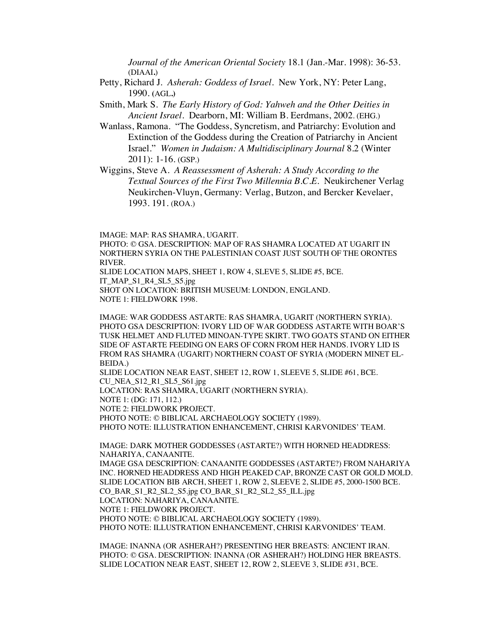*Journal of the American Oriental Society* 18.1 (Jan.-Mar. 1998): 36-53. (DIAAI**.**)

- Petty, Richard J*. Asherah: Goddess of Israel*. New York, NY: Peter Lang, 1990. **(**AGL**.)**
- Smith, Mark S. *The Early History of God: Yahweh and the Other Deities in Ancient Israel.* Dearborn, MI: William B. Eerdmans, 2002. (EHG.)
- Wanlass, Ramona. "The Goddess, Syncretism, and Patriarchy: Evolution and Extinction of the Goddess during the Creation of Patriarchy in Ancient Israel." *Women in Judaism: A Multidisciplinary Journal* 8.2 (Winter 2011): 1-16. (GSP.)
- Wiggins, Steve A. *A Reassessment of Asherah: A Study According to the Textual Sources of the First Two Millennia B.C.E.* Neukirchener Verlag Neukirchen-Vluyn, Germany: Verlag, Butzon, and Bercker Kevelaer, 1993. 191. (ROA.)

IMAGE: MAP: RAS SHAMRA, UGARIT.

PHOTO: © GSA. DESCRIPTION: MAP OF RAS SHAMRA LOCATED AT UGARIT IN NORTHERN SYRIA ON THE PALESTINIAN COAST JUST SOUTH OF THE ORONTES RIVER.

SLIDE LOCATION MAPS, SHEET 1, ROW 4, SLEVE 5, SLIDE #5, BCE. IT\_MAP\_S1\_R4\_SL5\_S5.jpg SHOT ON LOCATION: BRITISH MUSEUM: LONDON, ENGLAND.

NOTE 1: FIELDWORK 1998.

IMAGE: WAR GODDESS ASTARTE: RAS SHAMRA, UGARIT (NORTHERN SYRIA). PHOTO GSA DESCRIPTION: IVORY LID OF WAR GODDESS ASTARTE WITH BOAR'S TUSK HELMET AND FLUTED MINOAN-TYPE SKIRT. TWO GOATS STAND ON EITHER SIDE OF ASTARTE FEEDING ON EARS OF CORN FROM HER HANDS. IVORY LID IS FROM RAS SHAMRA (UGARIT) NORTHERN COAST OF SYRIA (MODERN MINET EL-BEIDA.)

SLIDE LOCATION NEAR EAST, SHEET 12, ROW 1, SLEEVE 5, SLIDE #61, BCE. CU\_NEA\_S12\_R1\_SL5\_S61.jpg LOCATION: RAS SHAMRA, UGARIT (NORTHERN SYRIA). NOTE 1: (DG: 171, 112.) NOTE 2: FIELDWORK PROJECT. PHOTO NOTE: © BIBLICAL ARCHAEOLOGY SOCIETY (1989).

PHOTO NOTE: ILLUSTRATION ENHANCEMENT, CHRISI KARVONIDES' TEAM.

IMAGE: DARK MOTHER GODDESSES (ASTARTE?) WITH HORNED HEADDRESS: NAHARIYA, CANAANITE.

IMAGE GSA DESCRIPTION: CANAANITE GODDESSES (ASTARTE?) FROM NAHARIYA INC. HORNED HEADDRESS AND HIGH PEAKED CAP, BRONZE CAST OR GOLD MOLD. SLIDE LOCATION BIB ARCH, SHEET 1, ROW 2, SLEEVE 2, SLIDE #5, 2000-1500 BCE. CO\_BAR\_S1\_R2\_SL2\_S5.jpg CO\_BAR\_S1\_R2\_SL2\_S5\_ILL.jpg LOCATION: NAHARIYA, CANAANITE. NOTE 1: FIELDWORK PROJECT. PHOTO NOTE: © BIBLICAL ARCHAEOLOGY SOCIETY (1989). PHOTO NOTE: ILLUSTRATION ENHANCEMENT, CHRISI KARVONIDES' TEAM.

IMAGE: INANNA (OR ASHERAH?) PRESENTING HER BREASTS: ANCIENT IRAN. PHOTO: © GSA. DESCRIPTION: INANNA (OR ASHERAH?) HOLDING HER BREASTS. SLIDE LOCATION NEAR EAST, SHEET 12, ROW 2, SLEEVE 3, SLIDE #31, BCE.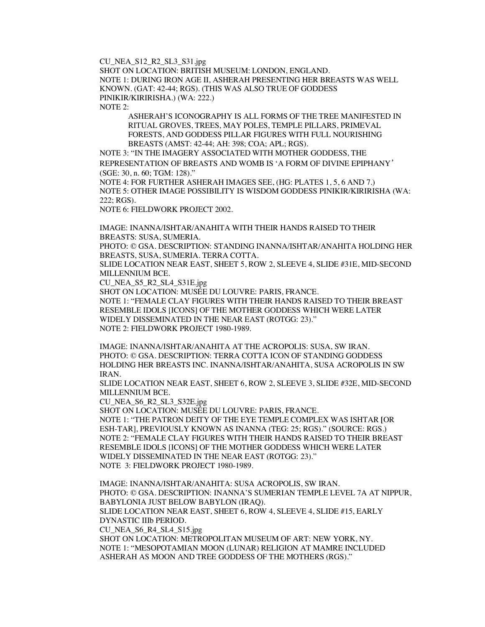CU\_NEA\_S12\_R2\_SL3\_S31.jpg

SHOT ON LOCATION: BRITISH MUSEUM: LONDON, ENGLAND. NOTE 1: DURING IRON AGE II, ASHERAH PRESENTING HER BREASTS WAS WELL KNOWN. (GAT: 42-44; RGS). (THIS WAS ALSO TRUE OF GODDESS PINIKIR/KIRIRISHA.) (WA: 222.) NOTE 2:

ASHERAH'S ICONOGRAPHY IS ALL FORMS OF THE TREE MANIFESTED IN RITUAL GROVES, TREES, MAY POLES, TEMPLE PILLARS, PRIMEVAL FORESTS, AND GODDESS PILLAR FIGURES WITH FULL NOURISHING BREASTS (AMST: 42-44; AH: 398; COA; APL; RGS).

NOTE 3: "IN THE IMAGERY ASSOCIATED WITH MOTHER GODDESS, THE REPRESENTATION OF BREASTS AND WOMB IS 'A FORM OF DIVINE EPIPHANY*'* (SGE: 30, n. 60; TGM: 128)."

NOTE 4: FOR FURTHER ASHERAH IMAGES SEE, (HG: PLATES 1, 5, 6 AND 7.) NOTE 5: OTHER IMAGE POSSIBILITY IS WISDOM GODDESS PINIKIR/KIRIRISHA (WA: 222; RGS).

NOTE 6: FIELDWORK PROJECT 2002.

IMAGE: INANNA/ISHTAR/ANAHITA WITH THEIR HANDS RAISED TO THEIR BREASTS: SUSA, SUMERIA.

PHOTO: © GSA. DESCRIPTION: STANDING INANNA/ISHTAR/ANAHITA HOLDING HER BREASTS, SUSA, SUMERIA. TERRA COTTA.

SLIDE LOCATION NEAR EAST, SHEET 5, ROW 2, SLEEVE 4, SLIDE #31E, MID-SECOND MILLENNIUM BCE.

CU\_NEA\_S5\_R2\_SL4\_S31E.jpg

SHOT ON LOCATION: MUSÉE DU LOUVRE: PARIS, FRANCE. NOTE 1: "FEMALE CLAY FIGURES WITH THEIR HANDS RAISED TO THEIR BREAST RESEMBLE IDOLS [ICONS] OF THE MOTHER GODDESS WHICH WERE LATER WIDELY DISSEMINATED IN THE NEAR EAST (ROTGG: 23)." NOTE 2: FIELDWORK PROJECT 1980-1989.

IMAGE: INANNA/ISHTAR/ANAHITA AT THE ACROPOLIS: SUSA, SW IRAN. PHOTO: © GSA. DESCRIPTION: TERRA COTTA ICON OF STANDING GODDESS HOLDING HER BREASTS INC. INANNA/ISHTAR/ANAHITA, SUSA ACROPOLIS IN SW IRAN.

SLIDE LOCATION NEAR EAST, SHEET 6, ROW 2, SLEEVE 3, SLIDE #32E, MID-SECOND MILLENNIUM BCE.

CU\_NEA\_S6\_R2\_SL3\_S32E.jpg

SHOT ON LOCATION: MUSÉE DU LOUVRE: PARIS, FRANCE. NOTE 1: "THE PATRON DEITY OF THE EYE TEMPLE COMPLEX WAS ISHTAR **[**OR ESH-TAR], PREVIOUSLY KNOWN AS INANNA (TEG: 25; RGS)." (SOURCE: RGS.) NOTE 2: "FEMALE CLAY FIGURES WITH THEIR HANDS RAISED TO THEIR BREAST RESEMBLE IDOLS [ICONS] OF THE MOTHER GODDESS WHICH WERE LATER WIDELY DISSEMINATED IN THE NEAR EAST (ROTGG: 23)." NOTE 3: FIELDWORK PROJECT 1980-1989.

IMAGE: INANNA/ISHTAR/ANAHITA: SUSA ACROPOLIS, SW IRAN. PHOTO: © GSA. DESCRIPTION: INANNA'S SUMERIAN TEMPLE LEVEL 7A AT NIPPUR, BABYLONIA JUST BELOW BABYLON (IRAQ). SLIDE LOCATION NEAR EAST, SHEET 6, ROW 4, SLEEVE 4, SLIDE #15, EARLY DYNASTIC IIIb PERIOD. CU\_NEA\_S6\_R4\_SL4\_S15.jpg SHOT ON LOCATION: METROPOLITAN MUSEUM OF ART: NEW YORK, NY. NOTE 1: "MESOPOTAMIAN MOON (LUNAR) RELIGION AT MAMRE INCLUDED ASHERAH AS MOON AND TREE GODDESS OF THE MOTHERS (RGS)."